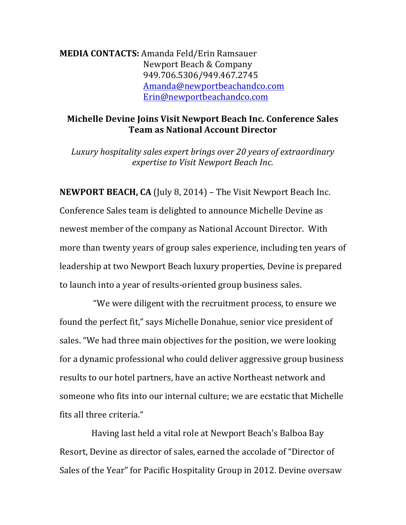**MEDIA CONTACTS:** Amanda Feld/Erin Ramsauer Newport Beach & Company 949.706.5306/949.467.2745 Amanda@newportbeachandco.com Erin@newportbeachandco.com

## **Michelle Devine Joins Visit Newport Beach Inc. Conference Sales Team as National Account Director**

Luxury hospitality sales expert brings over 20 years of extraordinary *expertise to Visit Newport Beach Inc.* 

**NEWPORT BEACH, CA** (July 8, 2014) – The Visit Newport Beach Inc. Conference Sales team is delighted to announce Michelle Devine as newest member of the company as National Account Director. With more than twenty years of group sales experience, including ten years of leadership at two Newport Beach luxury properties, Devine is prepared to launch into a year of results-oriented group business sales.

"We were diligent with the recruitment process, to ensure we found the perfect fit," says Michelle Donahue, senior vice president of sales. "We had three main objectives for the position, we were looking for a dynamic professional who could deliver aggressive group business results to our hotel partners, have an active Northeast network and someone who fits into our internal culture; we are ecstatic that Michelle fits all three criteria."

Having last held a vital role at Newport Beach's Balboa Bay Resort, Devine as director of sales, earned the accolade of "Director of Sales of the Year" for Pacific Hospitality Group in 2012. Devine oversaw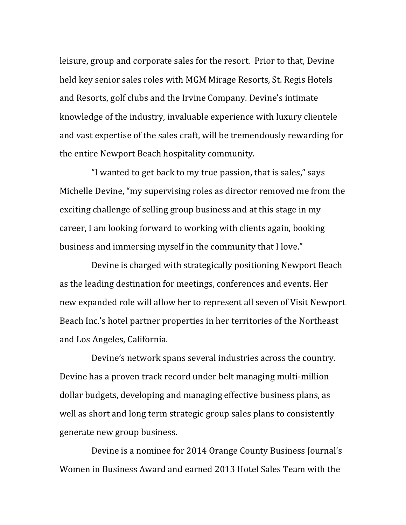leisure, group and corporate sales for the resort. Prior to that, Devine held key senior sales roles with MGM Mirage Resorts, St. Regis Hotels and Resorts, golf clubs and the Irvine Company. Devine's intimate knowledge of the industry, invaluable experience with luxury clientele and vast expertise of the sales craft, will be tremendously rewarding for the entire Newport Beach hospitality community.

"I wanted to get back to my true passion, that is sales," says Michelle Devine, "my supervising roles as director removed me from the exciting challenge of selling group business and at this stage in my career, I am looking forward to working with clients again, booking business and immersing myself in the community that I love."

Devine is charged with strategically positioning Newport Beach as the leading destination for meetings, conferences and events. Her new expanded role will allow her to represent all seven of Visit Newport Beach Inc.'s hotel partner properties in her territories of the Northeast and Los Angeles, California.

Devine's network spans several industries across the country. Devine has a proven track record under belt managing multi-million dollar budgets, developing and managing effective business plans, as well as short and long term strategic group sales plans to consistently generate new group business.

Devine is a nominee for 2014 Orange County Business Journal's Women in Business Award and earned 2013 Hotel Sales Team with the